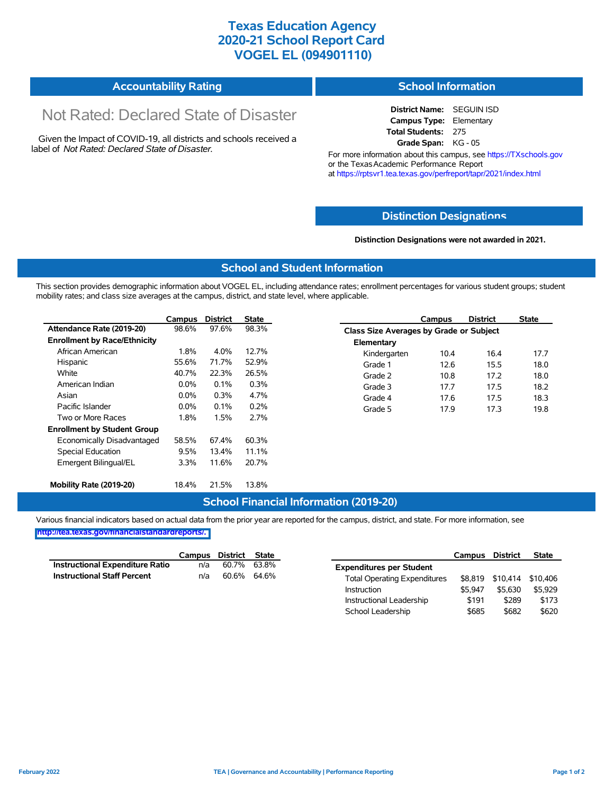### **Texas Education Agency 2020-21 School Report Card VOGEL EL (094901110)**

#### **Accountability Rating School Information**

# Not Rated: Declared State of Disaster

Given the Impact of COVID-19, all districts and schools received a label of *Not Rated: Declared State of Disaster.*

**District Name:** SEGUIN ISD **Campus Type:** Elementary **Total Students:** 275 **Grade Span:** KG - 05

For more information about this campus, see https://TXschools.gov or the Texas Academic Performance Report at https://rptsvr1.tea.texas.gov/perfreport/tapr/2021/index.html

### **Distinction Designat[ions](https://TXschools.gov)**

**Distinction Designations were not awarded in 2021.**

School Leadership  $$685$  \$682 \$620

#### **School and Student Information**

This section provides demographic information about VOGEL EL, including attendance rates; enrollment percentages for various student groups; student mobility rates; and class size averages at the campus, district, and state level, where applicable.

|                                     | Campus  | <b>District</b> | <b>State</b> |              | Campus                                  | <b>District</b> | <b>State</b> |  |  |
|-------------------------------------|---------|-----------------|--------------|--------------|-----------------------------------------|-----------------|--------------|--|--|
| Attendance Rate (2019-20)           | 98.6%   | 97.6%           | 98.3%        |              | Class Size Averages by Grade or Subject |                 |              |  |  |
| <b>Enrollment by Race/Ethnicity</b> |         |                 |              | Elementary   |                                         |                 |              |  |  |
| African American                    | 1.8%    | 4.0%            | 12.7%        | Kindergarten | 10.4                                    | 16.4            | 17.7         |  |  |
| Hispanic                            | 55.6%   | 71.7%           | 52.9%        | Grade 1      | 12.6                                    | 15.5            | 18.0         |  |  |
| White                               | 40.7%   | 22.3%           | 26.5%        | Grade 2      | 10.8                                    | 17.2            | 18.0         |  |  |
| American Indian                     | $0.0\%$ | 0.1%            | 0.3%         | Grade 3      | 17.7                                    | 17.5            | 18.2         |  |  |
| Asian                               | $0.0\%$ | 0.3%            | 4.7%         | Grade 4      | 17.6                                    | 17.5            | 18.3         |  |  |
| Pacific Islander                    | $0.0\%$ | 0.1%            | 0.2%         | Grade 5      | 17.9                                    | 17.3            | 19.8         |  |  |
| Two or More Races                   | 1.8%    | 1.5%            | 2.7%         |              |                                         |                 |              |  |  |
| <b>Enrollment by Student Group</b>  |         |                 |              |              |                                         |                 |              |  |  |
| Economically Disadvantaged          | 58.5%   | 67.4%           | 60.3%        |              |                                         |                 |              |  |  |
| Special Education                   | 9.5%    | 13.4%           | 11.1%        |              |                                         |                 |              |  |  |
| Emergent Bilingual/EL               | 3.3%    | 11.6%           | 20.7%        |              |                                         |                 |              |  |  |
|                                     |         |                 |              |              |                                         |                 |              |  |  |
| Mobility Rate (2019-20)             | 18.4%   | 21.5%           | 13.8%        |              |                                         |                 |              |  |  |

#### **School Financial Information (2019-20)**

Various financial indicators based on actual data from the prior year are reported for the campus, district, and state. For more information, see

**[http://tea.texas.gov/financialstandardreports/.](http://tea.texas.gov/financialstandardreports/)**

|                                    | Campus | District | State |                                     | Campus  | <b>District</b>           | <b>State</b> |
|------------------------------------|--------|----------|-------|-------------------------------------|---------|---------------------------|--------------|
| Instructional Expenditure Ratio    | n/a    | 60.7%    | 63.8% | <b>Expenditures per Student</b>     |         |                           |              |
| <b>Instructional Staff Percent</b> | n/a    | 60.6%    | 64.6% | <b>Total Operating Expenditures</b> |         | \$8,819 \$10,414 \$10,406 |              |
|                                    |        |          |       | Instruction                         | \$5.947 | \$5.630                   | \$5.929      |
|                                    |        |          |       | Instructional Leadership            | \$191   | \$289                     | \$173        |